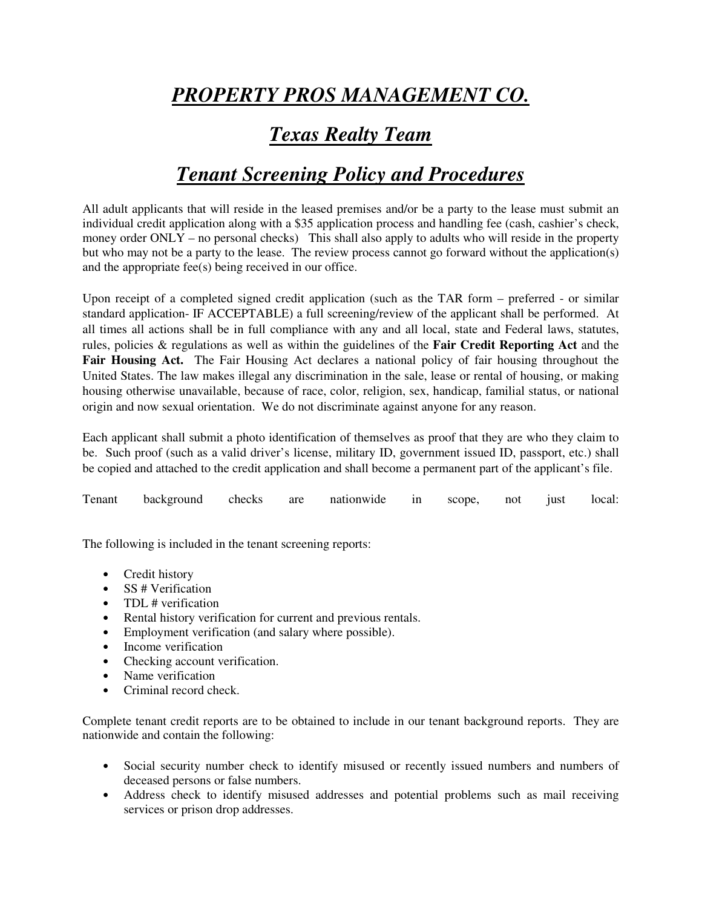# *PROPERTY PROS MANAGEMENT CO.*

## *Texas Realty Team*

### *Tenant Screening Policy and Procedures*

All adult applicants that will reside in the leased premises and/or be a party to the lease must submit an individual credit application along with a \$35 application process and handling fee (cash, cashier's check, money order ONLY – no personal checks) This shall also apply to adults who will reside in the property but who may not be a party to the lease. The review process cannot go forward without the application(s) and the appropriate fee(s) being received in our office.

Upon receipt of a completed signed credit application (such as the TAR form – preferred - or similar standard application- IF ACCEPTABLE) a full screening/review of the applicant shall be performed. At all times all actions shall be in full compliance with any and all local, state and Federal laws, statutes, rules, policies & regulations as well as within the guidelines of the **Fair Credit Reporting Act** and the **Fair Housing Act.** The Fair Housing Act declares a national policy of fair housing throughout the United States. The law makes illegal any discrimination in the sale, lease or rental of housing, or making housing otherwise unavailable, because of race, color, religion, sex, handicap, familial status, or national origin and now sexual orientation. We do not discriminate against anyone for any reason.

Each applicant shall submit a photo identification of themselves as proof that they are who they claim to be. Such proof (such as a valid driver's license, military ID, government issued ID, passport, etc.) shall be copied and attached to the credit application and shall become a permanent part of the applicant's file.

|  | Tenant background checks are nationwide in scope, not just local: |  |  |  |  |  |  |  |  |
|--|-------------------------------------------------------------------|--|--|--|--|--|--|--|--|
|--|-------------------------------------------------------------------|--|--|--|--|--|--|--|--|

The following is included in the tenant screening reports:

- Credit history
- SS # Verification
- TDL # verification
- Rental history verification for current and previous rentals.
- Employment verification (and salary where possible).
- Income verification
- Checking account verification.
- Name verification
- Criminal record check.

Complete tenant credit reports are to be obtained to include in our tenant background reports. They are nationwide and contain the following:

- Social security number check to identify misused or recently issued numbers and numbers of deceased persons or false numbers.
- Address check to identify misused addresses and potential problems such as mail receiving services or prison drop addresses.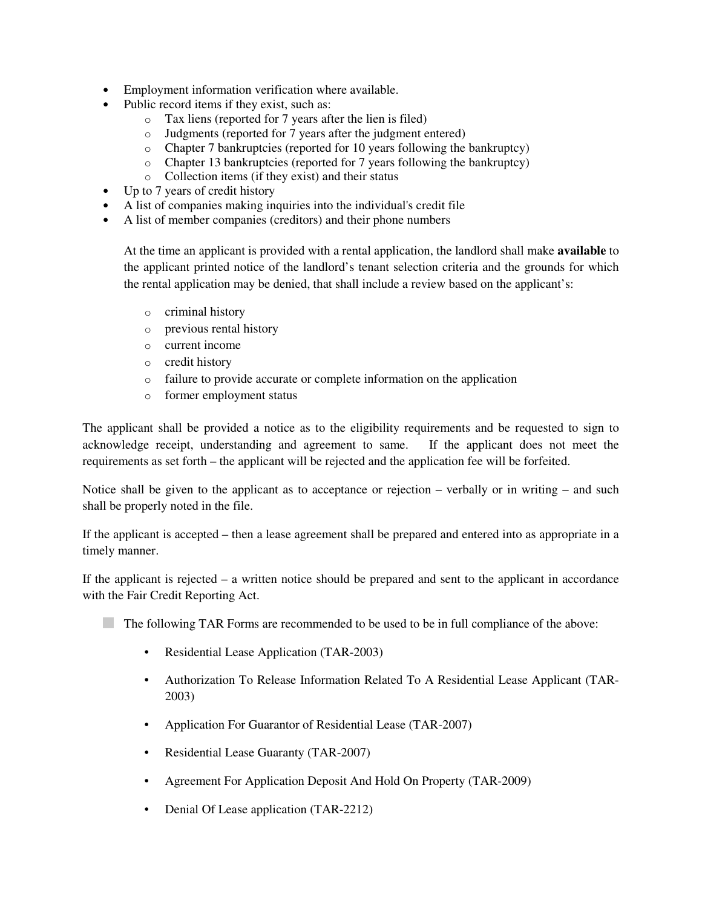- Employment information verification where available.
- Public record items if they exist, such as:
	- o Tax liens (reported for 7 years after the lien is filed)
	- o Judgments (reported for 7 years after the judgment entered)
	- o Chapter 7 bankruptcies (reported for 10 years following the bankruptcy)
	- o Chapter 13 bankruptcies (reported for 7 years following the bankruptcy)
	- o Collection items (if they exist) and their status
- Up to 7 years of credit history
- A list of companies making inquiries into the individual's credit file
- A list of member companies (creditors) and their phone numbers

At the time an applicant is provided with a rental application, the landlord shall make **available** to the applicant printed notice of the landlord's tenant selection criteria and the grounds for which the rental application may be denied, that shall include a review based on the applicant's:

- o criminal history
- o previous rental history
- o current income
- o credit history
- o failure to provide accurate or complete information on the application
- o former employment status

The applicant shall be provided a notice as to the eligibility requirements and be requested to sign to acknowledge receipt, understanding and agreement to same. If the applicant does not meet the requirements as set forth – the applicant will be rejected and the application fee will be forfeited.

Notice shall be given to the applicant as to acceptance or rejection – verbally or in writing – and such shall be properly noted in the file.

If the applicant is accepted – then a lease agreement shall be prepared and entered into as appropriate in a timely manner.

If the applicant is rejected – a written notice should be prepared and sent to the applicant in accordance with the Fair Credit Reporting Act.

- The following TAR Forms are recommended to be used to be in full compliance of the above:
	- Residential Lease Application (TAR-2003)
	- Authorization To Release Information Related To A Residential Lease Applicant (TAR-2003)
	- Application For Guarantor of Residential Lease (TAR-2007)
	- Residential Lease Guaranty (TAR-2007)
	- Agreement For Application Deposit And Hold On Property (TAR-2009)
	- Denial Of Lease application (TAR-2212)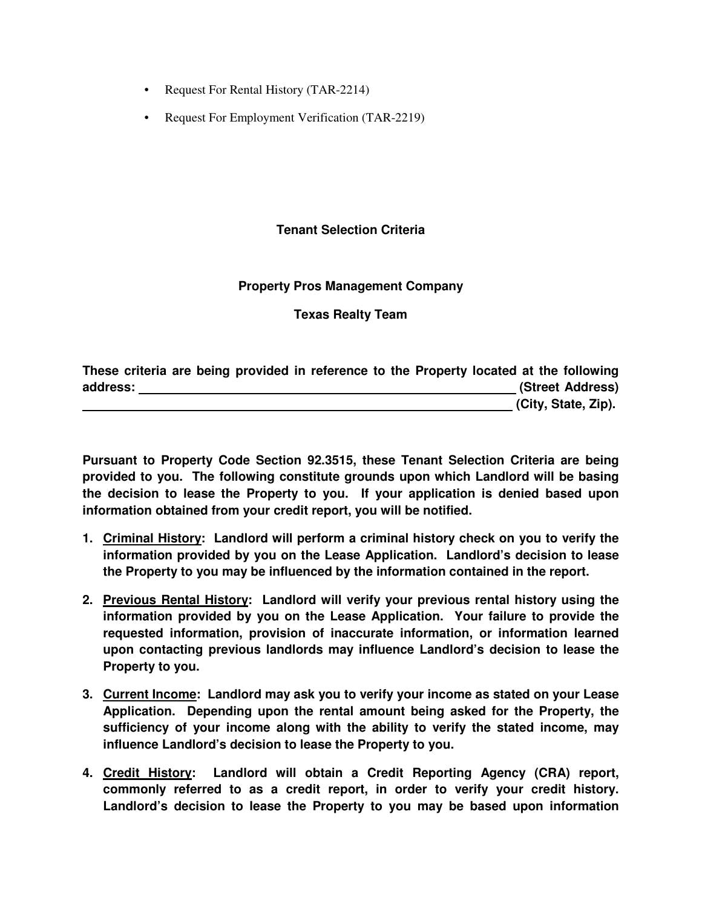- Request For Rental History (TAR-2214)
- Request For Employment Verification (TAR-2219)

#### **Tenant Selection Criteria**

#### **Property Pros Management Company**

**Texas Realty Team** 

| These criteria are being provided in reference to the Property located at the following |  |  |  |                     |
|-----------------------------------------------------------------------------------------|--|--|--|---------------------|
| address:                                                                                |  |  |  | (Street Address)    |
|                                                                                         |  |  |  | (City, State, Zip). |

**Pursuant to Property Code Section 92.3515, these Tenant Selection Criteria are being provided to you. The following constitute grounds upon which Landlord will be basing the decision to lease the Property to you. If your application is denied based upon information obtained from your credit report, you will be notified.** 

- **1. Criminal History: Landlord will perform a criminal history check on you to verify the information provided by you on the Lease Application. Landlord's decision to lease the Property to you may be influenced by the information contained in the report.**
- **2. Previous Rental History: Landlord will verify your previous rental history using the information provided by you on the Lease Application. Your failure to provide the requested information, provision of inaccurate information, or information learned upon contacting previous landlords may influence Landlord's decision to lease the Property to you.**
- **3. Current Income: Landlord may ask you to verify your income as stated on your Lease Application. Depending upon the rental amount being asked for the Property, the sufficiency of your income along with the ability to verify the stated income, may influence Landlord's decision to lease the Property to you.**
- **4. Credit History: Landlord will obtain a Credit Reporting Agency (CRA) report, commonly referred to as a credit report, in order to verify your credit history. Landlord's decision to lease the Property to you may be based upon information**